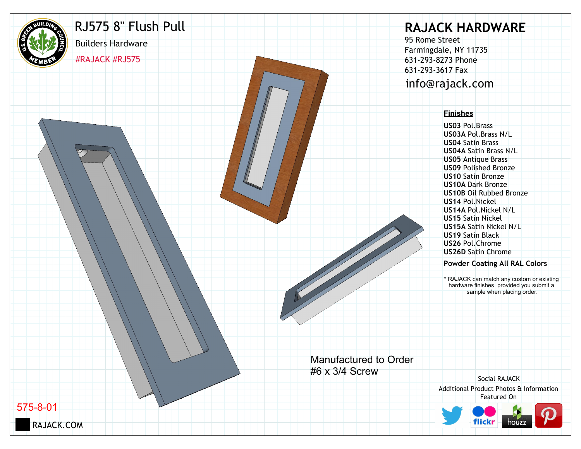

## RJ575 8" Flush Pull

#RAJACK #RJ575

Builders Hardware

# **RAJACK HARDWARE**

95 Rome Street Farmingdale, NY 11735 631-293-8273 Phone 631-293-3617 Fax info@rajack.com

#### **Finishes**

**US03** Pol.Brass **US03A** Pol.Brass N/L **US04** Satin Brass **US04A** Satin Brass N/L **US05** Antique Brass **US09** Polished Bronze **US10** Satin Bronze **US10A** Dark Bronze **US10B** Oil Rubbed Bronze **US14** Pol.Nickel **US14A** Pol.Nickel N/L **US15** Satin Nickel **US15A** Satin Nickel N/L **US19** Satin Black **US26** Pol.Chrome **US26D** Satin Chrome

#### **Powder Coating All RAL Colors**

\* RAJACK can match any custom or existing hardware finishes provided you submit a sample when placing order.

Manufactured to Order #6 x 3/4 Screw

Additional Product Photos & Information Featured On Social RAJACK



575-8-01

RAJACK.COM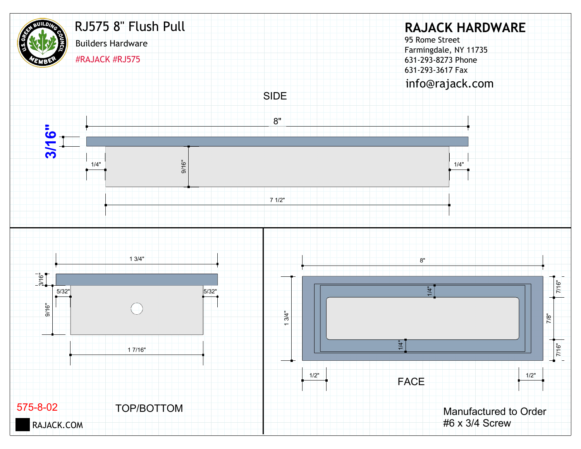